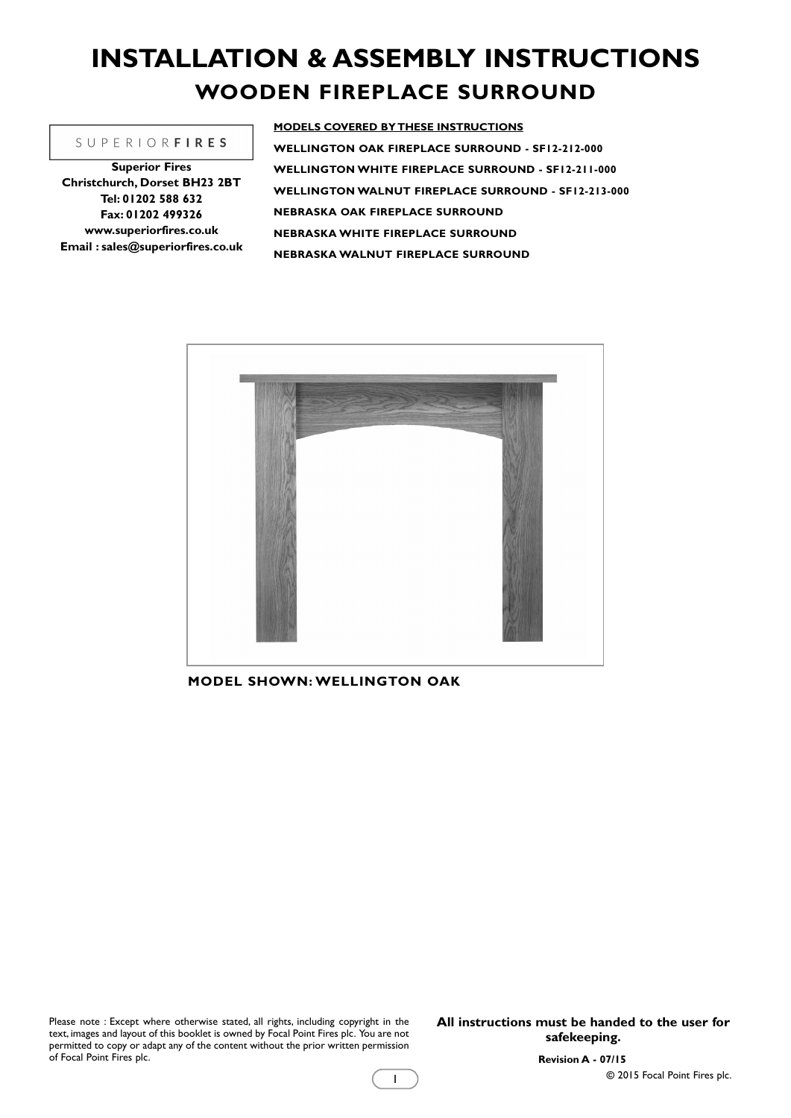# **INSTALLATION & ASSEMBLY INSTRUCTIONS WOODEN FIREPLACE SURROUND**

#### **SUPERIORFIRES**

**Superior Fires Christchurch, Dorset BH23 2BT Tel: 01202 588 632 Fax: 01202 499326 www.superiorfires.co.uk Email : sales@superiorfires.co.uk** **MODELS COVERED BY THESE INSTRUCTIONS WELLINGTON OAK FIREPLACE SURROUND - SF12-212-000 WELLINGTON WHITE FIREPLACE SURROUND - SF12-211-000 WELLINGTON WALNUT FIREPLACE SURROUND - SF12-213-000 NEBRASKA OAK FIREPLACE SURROUND NEBRASKA WHITE FIREPLACE SURROUND NEBRASKA WALNUT FIREPLACE SURROUND**



1

**MODEL SHOWN: WELLINGTON OAK**

Please note : Except where otherwise stated, all rights, including copyright in the text, images and layout of this booklet is owned by Focal Point Fires plc. You are not permitted to copy or adapt any of the content without the prior written permission of Focal Point Fires plc.

**All instructions must be handed to the user for safekeeping.**

**Revision A - 07/15**

**©** 2015 Focal Point Fires plc.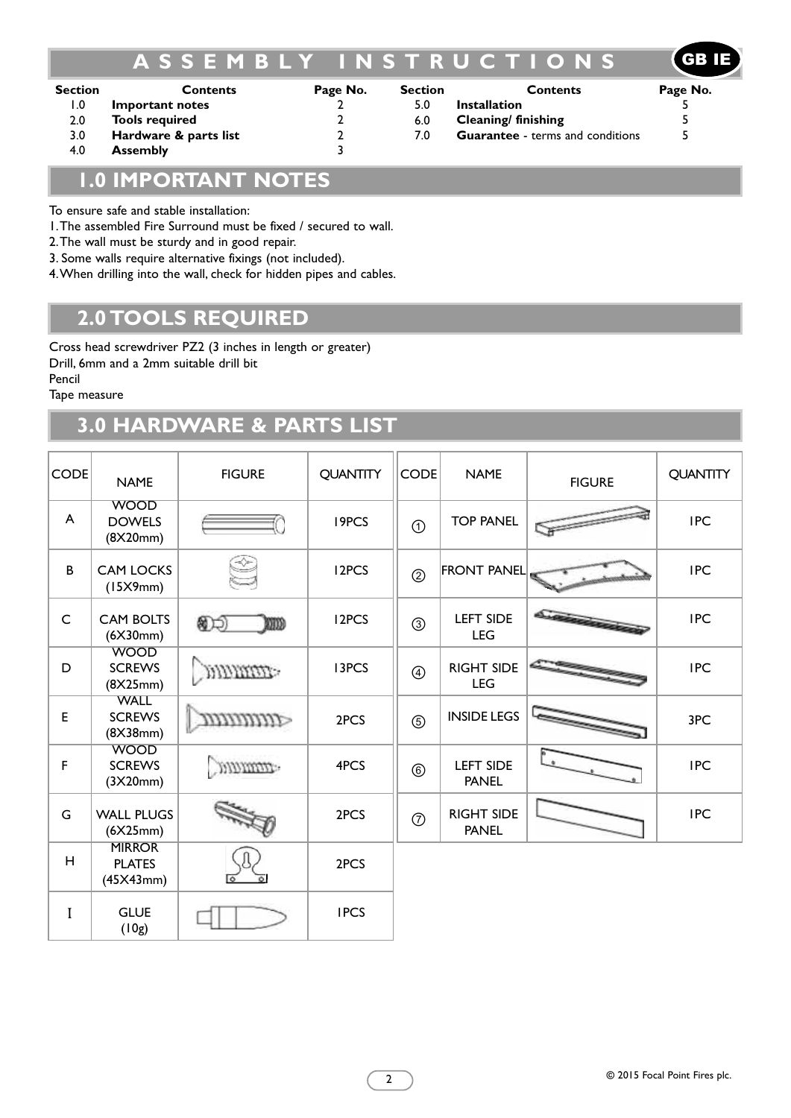# **A S S E M B L Y I N S T R U C T I O N S** GB IE

| <b>Section</b> | <b>Contents</b>       | Page No. | <b>Section</b> | <b>Contents</b>                         | Page No. |
|----------------|-----------------------|----------|----------------|-----------------------------------------|----------|
| I.O            | Important notes       |          | 5.0            | <b>Installation</b>                     |          |
| 2.0            | <b>Tools required</b> |          | 6.0            | Cleaning/ finishing                     |          |
| 3.0            | Hardware & parts list |          | 7.0            | <b>Guarantee</b> - terms and conditions |          |
| 4.0            | <b>Assembly</b>       |          |                |                                         |          |

# **1.0 IMPORTANT NOTES**

To ensure safe and stable installation:

1.The assembled Fire Surround must be fixed / secured to wall.

2.The wall must be sturdy and in good repair.

3. Some walls require alternative fixings (not included).

4.When drilling into the wall, check for hidden pipes and cables.

## **2.0 TOOLS REQUIRED**

Cross head screwdriver PZ2 (3 inches in length or greater) Drill, 6mm and a 2mm suitable drill bit

Pencil

Tape measure

# **3.0 HARDWARE & PARTS LIST**

| <b>CODE</b> | <b>NAME</b>                                 | <b>FIGURE</b> | <b>QUANTITY</b>    | <b>CODE</b>    | <b>NAME</b>                       | <b>FIGURE</b> | <b>QUANTITY</b> |
|-------------|---------------------------------------------|---------------|--------------------|----------------|-----------------------------------|---------------|-----------------|
| A           | <b>WOOD</b><br><b>DOWELS</b><br>(8X20mm)    |               | 19PCS              | $\odot$        | <b>TOP PANEL</b>                  |               | <b>IPC</b>      |
| B           | <b>CAM LOCKS</b><br>(15X9mm)                |               | I <sub>2</sub> PCS | $\circledS$    | <b>FRONT PANEL</b>                |               | <b>IPC</b>      |
| $\mathsf C$ | <b>CAM BOLTS</b><br>(6X30mm)                | இதி<br>md     | I2PCS              | $\circledS$    | <b>LEFT SIDE</b><br><b>LEG</b>    |               | <b>IPC</b>      |
| D           | <b>WOOD</b><br><b>SCREWS</b><br>(8X25mm)    | <b>MARCHI</b> | <b>I3PCS</b>       | $^{\circledR}$ | <b>RIGHT SIDE</b><br><b>LEG</b>   |               | <b>IPC</b>      |
| E           | <b>WALL</b><br><b>SCREWS</b><br>(8X38mm)    |               | 2PCS               | $\circledS$    | <b>INSIDE LEGS</b>                |               | 3PC             |
| F           | <b>WOOD</b><br><b>SCREWS</b><br>(3X20mm)    | amman.        | 4PCS               | $^{\circledR}$ | <b>LEFT SIDE</b><br><b>PANEL</b>  |               | <b>IPC</b>      |
| G           | <b>WALL PLUGS</b><br>(6X25mm)               |               | 2PCS               | $\circledcirc$ | <b>RIGHT SIDE</b><br><b>PANEL</b> |               | <b>IPC</b>      |
| H           | <b>MIRROR</b><br><b>PLATES</b><br>(45X43mm) |               | 2PCS               |                |                                   |               |                 |
| $\mathbf I$ | <b>GLUE</b><br>(10g)                        |               | <b>IPCS</b>        |                |                                   |               |                 |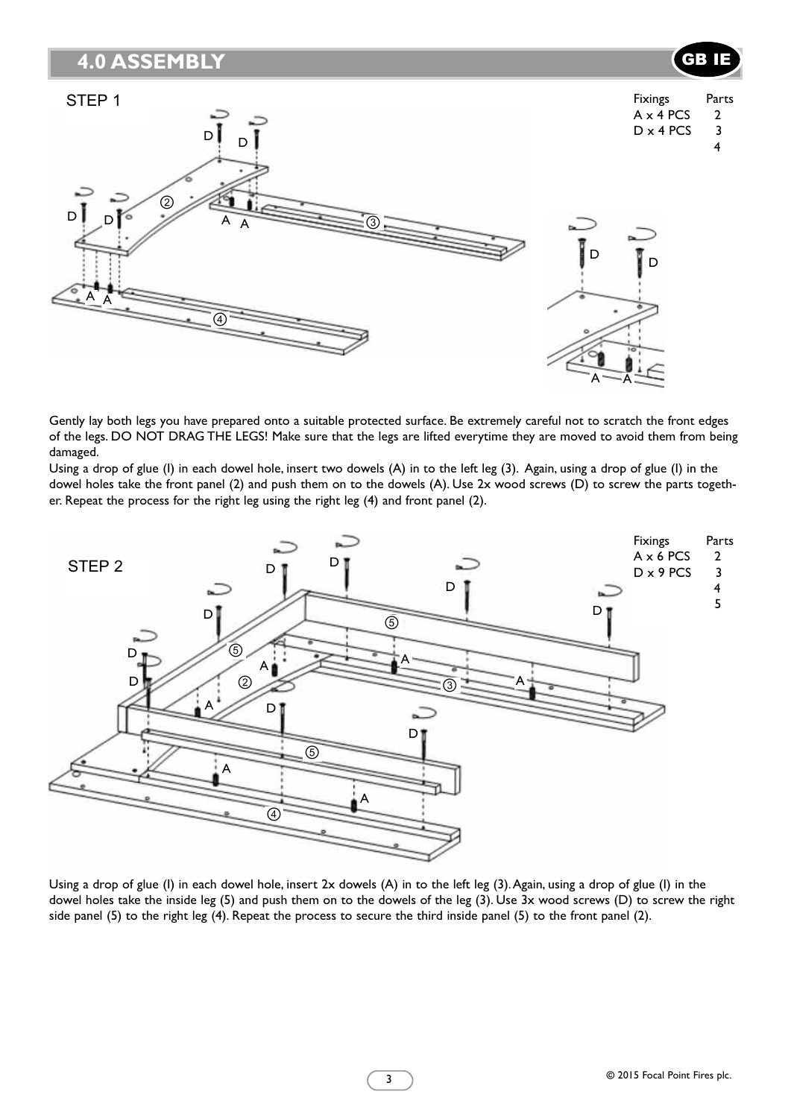### **4.0 ASSEMBLY**



Gently lay both legs you have prepared onto a suitable protected surface. Be extremely careful not to scratch the front edges of the legs. DO NOT DRAG THE LEGS! Make sure that the legs are lifted everytime they are moved to avoid them from being damaged.

Using a drop of glue (I) in each dowel hole, insert two dowels (A) in to the left leg (3). Again, using a drop of glue (I) in the dowel holes take the front panel (2) and push them on to the dowels (A). Use 2x wood screws (D) to screw the parts together. Repeat the process for the right leg using the right leg (4) and front panel (2).



Using a drop of glue (I) in each dowel hole, insert 2x dowels (A) in to the left leg (3).Again, using a drop of glue (I) in the dowel holes take the inside leg (5) and push them on to the dowels of the leg (3). Use 3x wood screws (D) to screw the right side panel (5) to the right leg (4). Repeat the process to secure the third inside panel (5) to the front panel (2).

GB IE

3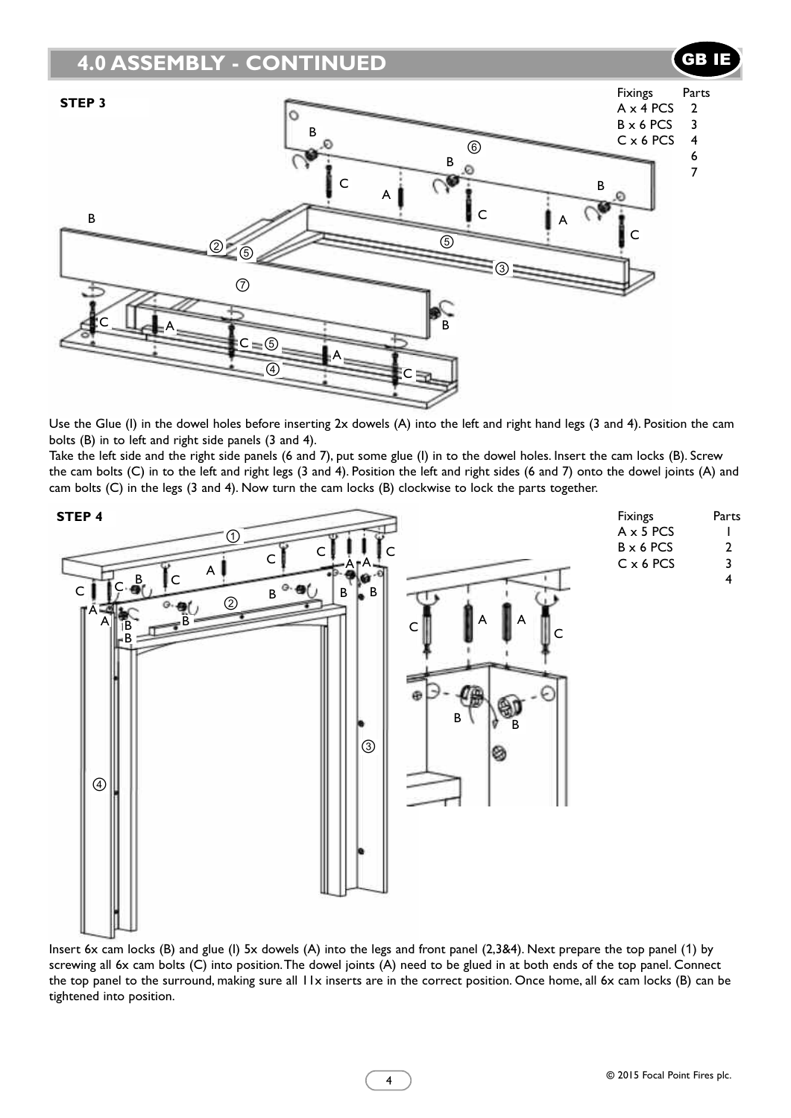

Use the Glue (I) in the dowel holes before inserting 2x dowels (A) into the left and right hand legs (3 and 4). Position the cam bolts (B) in to left and right side panels (3 and 4).

Take the left side and the right side panels (6 and 7), put some glue (I) in to the dowel holes. Insert the cam locks (B). Screw the cam bolts (C) in to the left and right legs (3 and 4). Position the left and right sides (6 and 7) onto the dowel joints (A) and cam bolts (C) in the legs (3 and 4). Now turn the cam locks (B) clockwise to lock the parts together.



Insert 6x cam locks (B) and glue (I) 5x dowels (A) into the legs and front panel (2,3&4). Next prepare the top panel (1) by screwing all 6x cam bolts (C) into position.The dowel joints (A) need to be glued in at both ends of the top panel. Connect the top panel to the surround, making sure all 11x inserts are in the correct position. Once home, all 6x cam locks (B) can be tightened into position.